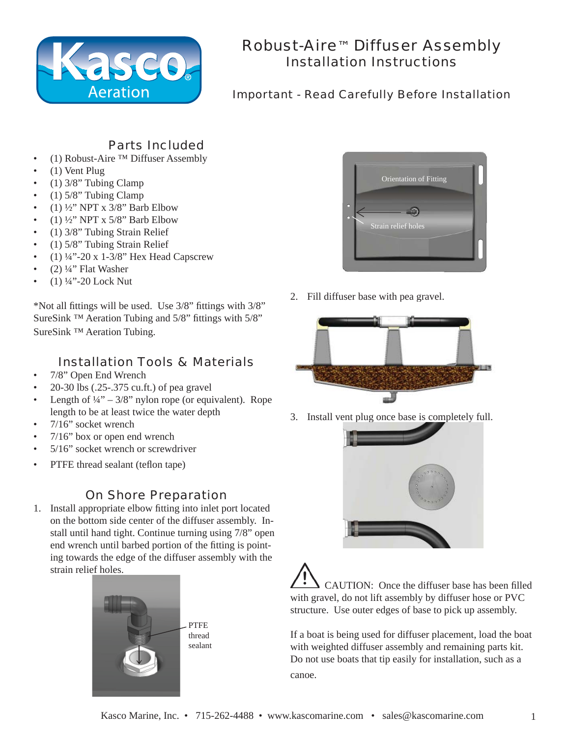

# Robust-Aire™ Diffuser Assembly Installation Instructions

#### Important - Read Carefully Before Installation

### Parts Included

- (1) Robust-Aire ™ Diffuser Assembly
- (1) Vent Plug
- $(1)$  3/8" Tubing Clamp
- $(1)$  5/8" Tubing Clamp
- (1)  $\frac{1}{2}$ " NPT x 3/8" Barb Elbow
- (1) ½" NPT x 5/8" Barb Elbow
- (1) 3/8" Tubing Strain Relief
- (1) 5/8" Tubing Strain Relief
- (1)  $\frac{1}{4}$  -20 x 1-3/8" Hex Head Capscrew
- $(2)$  ¼" Flat Washer
- $(1)$  ¼"-20 Lock Nut

\*Not all fittings will be used. Use  $3/8$ " fittings with  $3/8$ " SureSink <sup>™</sup> Aeration Tubing and  $5/8$ " fittings with  $5/8$ " SureSink ™ Aeration Tubing.

## Installation Tools & Materials

- 7/8" Open End Wrench
- 20-30 lbs (.25-.375 cu.ft.) of pea gravel
- Length of  $\frac{1}{4}$ " 3/8" nylon rope (or equivalent). Rope length to be at least twice the water depth
- 7/16" socket wrench
- 7/16" box or open end wrench
- 5/16" socket wrench or screwdriver
- PTFE thread sealant (teflon tape)

### On Shore Preparation

1. Install appropriate elbow fitting into inlet port located on the bottom side center of the diffuser assembly. Install until hand tight. Continue turning using 7/8" open end wrench until barbed portion of the fitting is pointing towards the edge of the diffuser assembly with the strain relief holes.



Orientation of Fitting Strain relief holes

2. Fill diffuser base with pea gravel.



3. Install vent plug once base is completely full.



**CAUTION:** Once the diffuser base has been filled with gravel, do not lift assembly by diffuser hose or PVC structure. Use outer edges of base to pick up assembly.

If a boat is being used for diffuser placement, load the boat with weighted diffuser assembly and remaining parts kit. Do not use boats that tip easily for installation, such as a canoe.